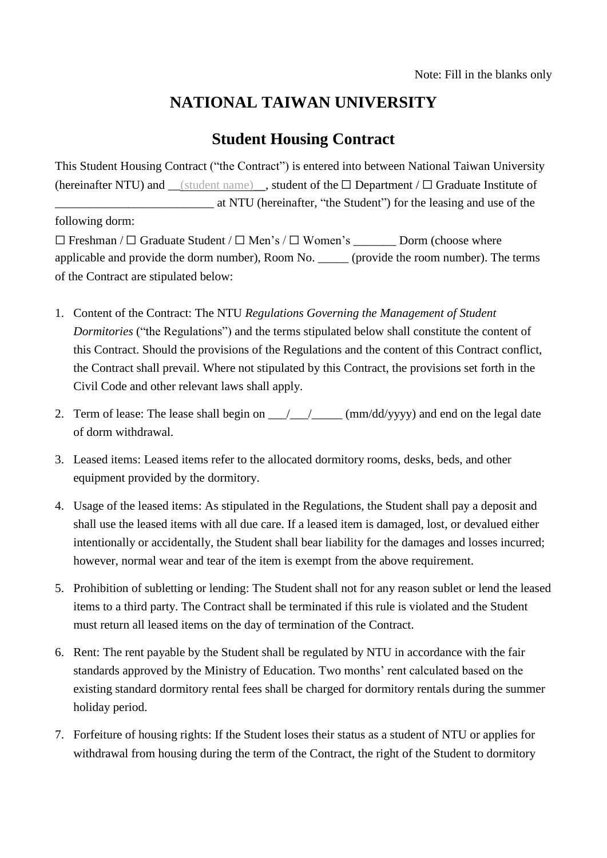## **NATIONAL TAIWAN UNIVERSITY**

## **Student Housing Contract**

This Student Housing Contract ("the Contract") is entered into between National Taiwan University (hereinafter NTU) and (student name), student of the  $□$  Department /  $□$  Graduate Institute of \_\_\_\_\_\_\_\_\_\_\_\_\_\_\_\_\_\_\_\_\_\_\_\_\_\_ at NTU (hereinafter, "the Student") for the leasing and use of the following dorm:

☐ Freshman / ☐ Graduate Student / ☐ Men's / ☐ Women's \_\_\_\_\_\_\_ Dorm (choose where applicable and provide the dorm number), Room No. \_\_\_\_\_ (provide the room number). The terms of the Contract are stipulated below:

- 1. Content of the Contract: The NTU *Regulations Governing the Management of Student Dormitories* ("the Regulations") and the terms stipulated below shall constitute the content of this Contract. Should the provisions of the Regulations and the content of this Contract conflict, the Contract shall prevail. Where not stipulated by this Contract, the provisions set forth in the Civil Code and other relevant laws shall apply.
- 2. Term of lease: The lease shall begin on  $\frac{1}{\sqrt{2}}$  (mm/dd/yyyy) and end on the legal date of dorm withdrawal.
- 3. Leased items: Leased items refer to the allocated dormitory rooms, desks, beds, and other equipment provided by the dormitory.
- 4. Usage of the leased items: As stipulated in the Regulations, the Student shall pay a deposit and shall use the leased items with all due care. If a leased item is damaged, lost, or devalued either intentionally or accidentally, the Student shall bear liability for the damages and losses incurred; however, normal wear and tear of the item is exempt from the above requirement.
- 5. Prohibition of subletting or lending: The Student shall not for any reason sublet or lend the leased items to a third party. The Contract shall be terminated if this rule is violated and the Student must return all leased items on the day of termination of the Contract.
- 6. Rent: The rent payable by the Student shall be regulated by NTU in accordance with the fair standards approved by the Ministry of Education. Two months' rent calculated based on the existing standard dormitory rental fees shall be charged for dormitory rentals during the summer holiday period.
- 7. Forfeiture of housing rights: If the Student loses their status as a student of NTU or applies for withdrawal from housing during the term of the Contract, the right of the Student to dormitory